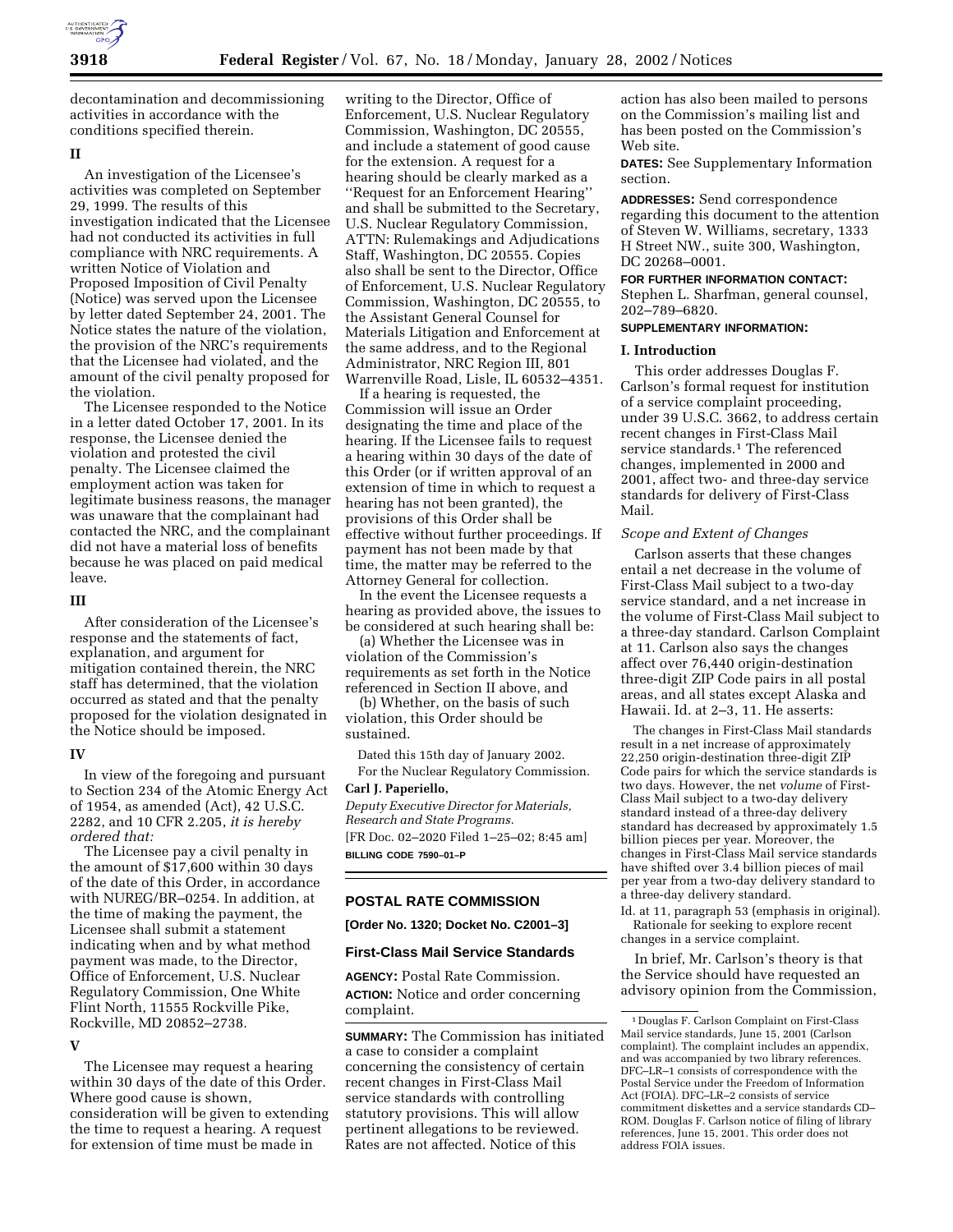

decontamination and decommissioning activities in accordance with the conditions specified therein.

## **II**

An investigation of the Licensee's activities was completed on September 29, 1999. The results of this investigation indicated that the Licensee had not conducted its activities in full compliance with NRC requirements. A written Notice of Violation and Proposed Imposition of Civil Penalty (Notice) was served upon the Licensee by letter dated September 24, 2001. The Notice states the nature of the violation, the provision of the NRC's requirements that the Licensee had violated, and the amount of the civil penalty proposed for the violation.

The Licensee responded to the Notice in a letter dated October 17, 2001. In its response, the Licensee denied the violation and protested the civil penalty. The Licensee claimed the employment action was taken for legitimate business reasons, the manager was unaware that the complainant had contacted the NRC, and the complainant did not have a material loss of benefits because he was placed on paid medical leave.

## **III**

After consideration of the Licensee's response and the statements of fact, explanation, and argument for mitigation contained therein, the NRC staff has determined, that the violation occurred as stated and that the penalty proposed for the violation designated in the Notice should be imposed.

## **IV**

In view of the foregoing and pursuant to Section 234 of the Atomic Energy Act of 1954, as amended (Act), 42 U.S.C. 2282, and 10 CFR 2.205, *it is hereby ordered that:*

The Licensee pay a civil penalty in the amount of \$17,600 within 30 days of the date of this Order, in accordance with NUREG/BR–0254. In addition, at the time of making the payment, the Licensee shall submit a statement indicating when and by what method payment was made, to the Director, Office of Enforcement, U.S. Nuclear Regulatory Commission, One White Flint North, 11555 Rockville Pike, Rockville, MD 20852–2738.

### **V**

The Licensee may request a hearing within 30 days of the date of this Order. Where good cause is shown, consideration will be given to extending the time to request a hearing. A request for extension of time must be made in

writing to the Director, Office of Enforcement, U.S. Nuclear Regulatory Commission, Washington, DC 20555, and include a statement of good cause for the extension. A request for a hearing should be clearly marked as a ''Request for an Enforcement Hearing'' and shall be submitted to the Secretary, U.S. Nuclear Regulatory Commission, ATTN: Rulemakings and Adjudications Staff, Washington, DC 20555. Copies also shall be sent to the Director, Office of Enforcement, U.S. Nuclear Regulatory Commission, Washington, DC 20555, to the Assistant General Counsel for Materials Litigation and Enforcement at the same address, and to the Regional Administrator, NRC Region III, 801 Warrenville Road, Lisle, IL 60532–4351.

If a hearing is requested, the Commission will issue an Order designating the time and place of the hearing. If the Licensee fails to request a hearing within 30 days of the date of this Order (or if written approval of an extension of time in which to request a hearing has not been granted), the provisions of this Order shall be effective without further proceedings. If payment has not been made by that time, the matter may be referred to the Attorney General for collection.

In the event the Licensee requests a hearing as provided above, the issues to be considered at such hearing shall be:

(a) Whether the Licensee was in violation of the Commission's requirements as set forth in the Notice referenced in Section II above, and

(b) Whether, on the basis of such violation, this Order should be sustained.

Dated this 15th day of January 2002. For the Nuclear Regulatory Commission.

**Carl J. Paperiello,** *Deputy Executive Director for Materials, Research and State Programs.* [FR Doc. 02–2020 Filed 1–25–02; 8:45 am] **BILLING CODE 7590–01–P**

### **POSTAL RATE COMMISSION**

**[Order No. 1320; Docket No. C2001–3]**

### **First-Class Mail Service Standards**

**AGENCY:** Postal Rate Commission. **ACTION:** Notice and order concerning complaint.

**SUMMARY:** The Commission has initiated a case to consider a complaint concerning the consistency of certain recent changes in First-Class Mail service standards with controlling statutory provisions. This will allow pertinent allegations to be reviewed. Rates are not affected. Notice of this

action has also been mailed to persons on the Commission's mailing list and has been posted on the Commission's Web site.

**DATES:** See Supplementary Information section.

**ADDRESSES:** Send correspondence regarding this document to the attention of Steven W. Williams, secretary, 1333 H Street NW., suite 300, Washington, DC 20268–0001.

#### **FOR FURTHER INFORMATION CONTACT:**

Stephen L. Sharfman, general counsel, 202–789–6820.

## **SUPPLEMENTARY INFORMATION:**

### **I. Introduction**

This order addresses Douglas F. Carlson's formal request for institution of a service complaint proceeding, under 39 U.S.C. 3662, to address certain recent changes in First-Class Mail service standards.<sup>1</sup> The referenced changes, implemented in 2000 and 2001, affect two- and three-day service standards for delivery of First-Class Mail.

# *Scope and Extent of Changes*

Carlson asserts that these changes entail a net decrease in the volume of First-Class Mail subject to a two-day service standard, and a net increase in the volume of First-Class Mail subject to a three-day standard. Carlson Complaint at 11. Carlson also says the changes affect over 76,440 origin-destination three-digit ZIP Code pairs in all postal areas, and all states except Alaska and Hawaii. Id. at 2–3, 11. He asserts:

The changes in First-Class Mail standards result in a net increase of approximately 22,250 origin-destination three-digit ZIP Code pairs for which the service standards is two days. However, the net *volume* of First-Class Mail subject to a two-day delivery standard instead of a three-day delivery standard has decreased by approximately 1.5 billion pieces per year. Moreover, the changes in First-Class Mail service standards have shifted over 3.4 billion pieces of mail per year from a two-day delivery standard to a three-day delivery standard. Id. at 11, paragraph 53 (emphasis in original).

Rationale for seeking to explore recent changes in a service complaint.

In brief, Mr. Carlson's theory is that the Service should have requested an advisory opinion from the Commission,

<sup>1</sup> Douglas F. Carlson Complaint on First-Class Mail service standards, June 15, 2001 (Carlson complaint). The complaint includes an appendix, and was accompanied by two library references. DFC–LR–1 consists of correspondence with the Postal Service under the Freedom of Information Act (FOIA). DFC–LR–2 consists of service commitment diskettes and a service standards CD– ROM. Douglas F. Carlson notice of filing of library references, June 15, 2001. This order does not address FOIA issues.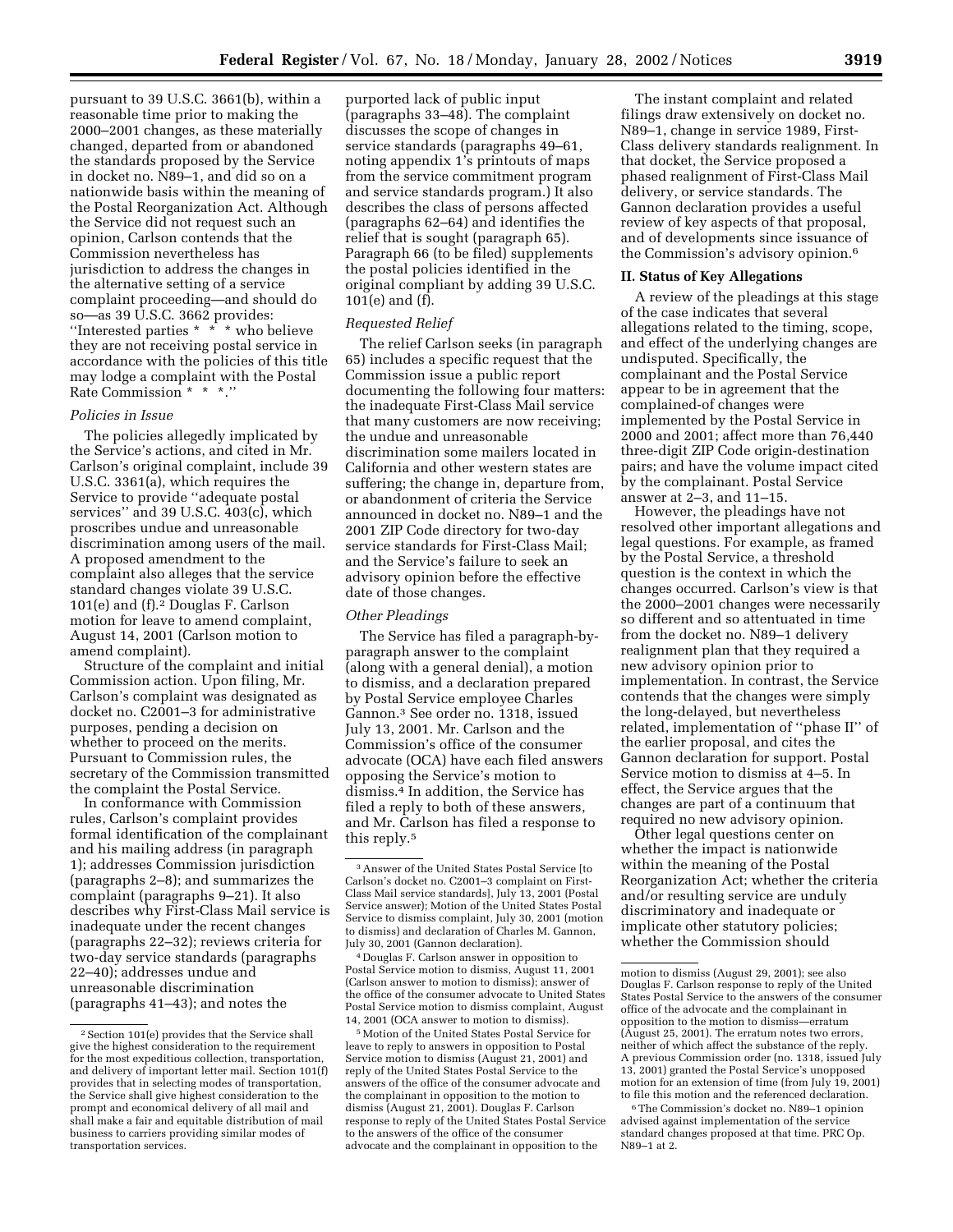pursuant to 39 U.S.C. 3661(b), within a reasonable time prior to making the 2000–2001 changes, as these materially changed, departed from or abandoned the standards proposed by the Service in docket no. N89–1, and did so on a nationwide basis within the meaning of the Postal Reorganization Act. Although the Service did not request such an opinion, Carlson contends that the Commission nevertheless has jurisdiction to address the changes in the alternative setting of a service complaint proceeding—and should do so—as 39 U.S.C. 3662 provides: ''Interested parties \* \* \* who believe they are not receiving postal service in accordance with the policies of this title may lodge a complaint with the Postal Rate Commission \* \* \*.''

# *Policies in Issue*

The policies allegedly implicated by the Service's actions, and cited in Mr. Carlson's original complaint, include 39 U.S.C. 3361(a), which requires the Service to provide ''adequate postal services'' and 39 U.S.C. 403(c), which proscribes undue and unreasonable discrimination among users of the mail. A proposed amendment to the complaint also alleges that the service standard changes violate 39 U.S.C. 101(e) and (f).2 Douglas F. Carlson motion for leave to amend complaint, August 14, 2001 (Carlson motion to amend complaint).

Structure of the complaint and initial Commission action. Upon filing, Mr. Carlson's complaint was designated as docket no. C2001–3 for administrative purposes, pending a decision on whether to proceed on the merits. Pursuant to Commission rules, the secretary of the Commission transmitted the complaint the Postal Service.

In conformance with Commission rules, Carlson's complaint provides formal identification of the complainant and his mailing address (in paragraph 1); addresses Commission jurisdiction (paragraphs 2–8); and summarizes the complaint (paragraphs 9–21). It also describes why First-Class Mail service is inadequate under the recent changes (paragraphs 22–32); reviews criteria for two-day service standards (paragraphs 22–40); addresses undue and unreasonable discrimination (paragraphs 41–43); and notes the

purported lack of public input (paragraphs 33–48). The complaint discusses the scope of changes in service standards (paragraphs 49–61, noting appendix 1's printouts of maps from the service commitment program and service standards program.) It also describes the class of persons affected (paragraphs 62–64) and identifies the relief that is sought (paragraph 65). Paragraph 66 (to be filed) supplements the postal policies identified in the original compliant by adding 39 U.S.C. 101(e) and (f).

### *Requested Relief*

The relief Carlson seeks (in paragraph 65) includes a specific request that the Commission issue a public report documenting the following four matters: the inadequate First-Class Mail service that many customers are now receiving; the undue and unreasonable discrimination some mailers located in California and other western states are suffering; the change in, departure from, or abandonment of criteria the Service announced in docket no. N89–1 and the 2001 ZIP Code directory for two-day service standards for First-Class Mail; and the Service's failure to seek an advisory opinion before the effective date of those changes.

## *Other Pleadings*

The Service has filed a paragraph-byparagraph answer to the complaint (along with a general denial), a motion to dismiss, and a declaration prepared by Postal Service employee Charles Gannon.3 See order no. 1318, issued July 13, 2001. Mr. Carlson and the Commission's office of the consumer advocate (OCA) have each filed answers opposing the Service's motion to dismiss.4 In addition, the Service has filed a reply to both of these answers, and Mr. Carlson has filed a response to this reply.5

4 Douglas F. Carlson answer in opposition to Postal Service motion to dismiss, August 11, 2001 (Carlson answer to motion to dismiss); answer of the office of the consumer advocate to United States Postal Service motion to dismiss complaint, August 14, 2001 (OCA answer to motion to dismiss).

5Motion of the United States Postal Service for leave to reply to answers in opposition to Postal Service motion to dismiss (August 21, 2001) and reply of the United States Postal Service to the answers of the office of the consumer advocate and the complainant in opposition to the motion to dismiss (August 21, 2001). Douglas F. Carlson response to reply of the United States Postal Service to the answers of the office of the consumer advocate and the complainant in opposition to the

The instant complaint and related filings draw extensively on docket no. N89–1, change in service 1989, First-Class delivery standards realignment. In that docket, the Service proposed a phased realignment of First-Class Mail delivery, or service standards. The Gannon declaration provides a useful review of key aspects of that proposal, and of developments since issuance of the Commission's advisory opinion.6

#### **II. Status of Key Allegations**

A review of the pleadings at this stage of the case indicates that several allegations related to the timing, scope, and effect of the underlying changes are undisputed. Specifically, the complainant and the Postal Service appear to be in agreement that the complained-of changes were implemented by the Postal Service in 2000 and 2001; affect more than 76,440 three-digit ZIP Code origin-destination pairs; and have the volume impact cited by the complainant. Postal Service answer at 2–3, and 11–15.

However, the pleadings have not resolved other important allegations and legal questions. For example, as framed by the Postal Service, a threshold question is the context in which the changes occurred. Carlson's view is that the 2000–2001 changes were necessarily so different and so attentuated in time from the docket no. N89–1 delivery realignment plan that they required a new advisory opinion prior to implementation. In contrast, the Service contends that the changes were simply the long-delayed, but nevertheless related, implementation of ''phase II'' of the earlier proposal, and cites the Gannon declaration for support. Postal Service motion to dismiss at 4–5. In effect, the Service argues that the changes are part of a continuum that required no new advisory opinion.

Other legal questions center on whether the impact is nationwide within the meaning of the Postal Reorganization Act; whether the criteria and/or resulting service are unduly discriminatory and inadequate or implicate other statutory policies; whether the Commission should

6The Commission's docket no. N89–1 opinion advised against implementation of the service standard changes proposed at that time. PRC Op. N89–1 at 2.

<sup>2</sup>Section 101(e) provides that the Service shall give the highest consideration to the requirement for the most expeditious collection, transportation, and delivery of important letter mail. Section 101(f) provides that in selecting modes of transportation, the Service shall give highest consideration to the prompt and economical delivery of all mail and shall make a fair and equitable distribution of mail business to carriers providing similar modes of transportation services.

<sup>3</sup>Answer of the United States Postal Service [to Carlson's docket no. C2001–3 complaint on First-Class Mail service standards], July 13, 2001 (Postal Service answer); Motion of the United States Postal Service to dismiss complaint, July 30, 2001 (motion to dismiss) and declaration of Charles M. Gannon, July 30, 2001 (Gannon declaration).

motion to dismiss (August 29, 2001); see also Douglas F. Carlson response to reply of the United States Postal Service to the answers of the consumer office of the advocate and the complainant in opposition to the motion to dismiss—erratum (August 25, 2001). The erratum notes two errors, neither of which affect the substance of the reply. A previous Commission order (no. 1318, issued July 13, 2001) granted the Postal Service's unopposed motion for an extension of time (from July 19, 2001) to file this motion and the referenced declaration.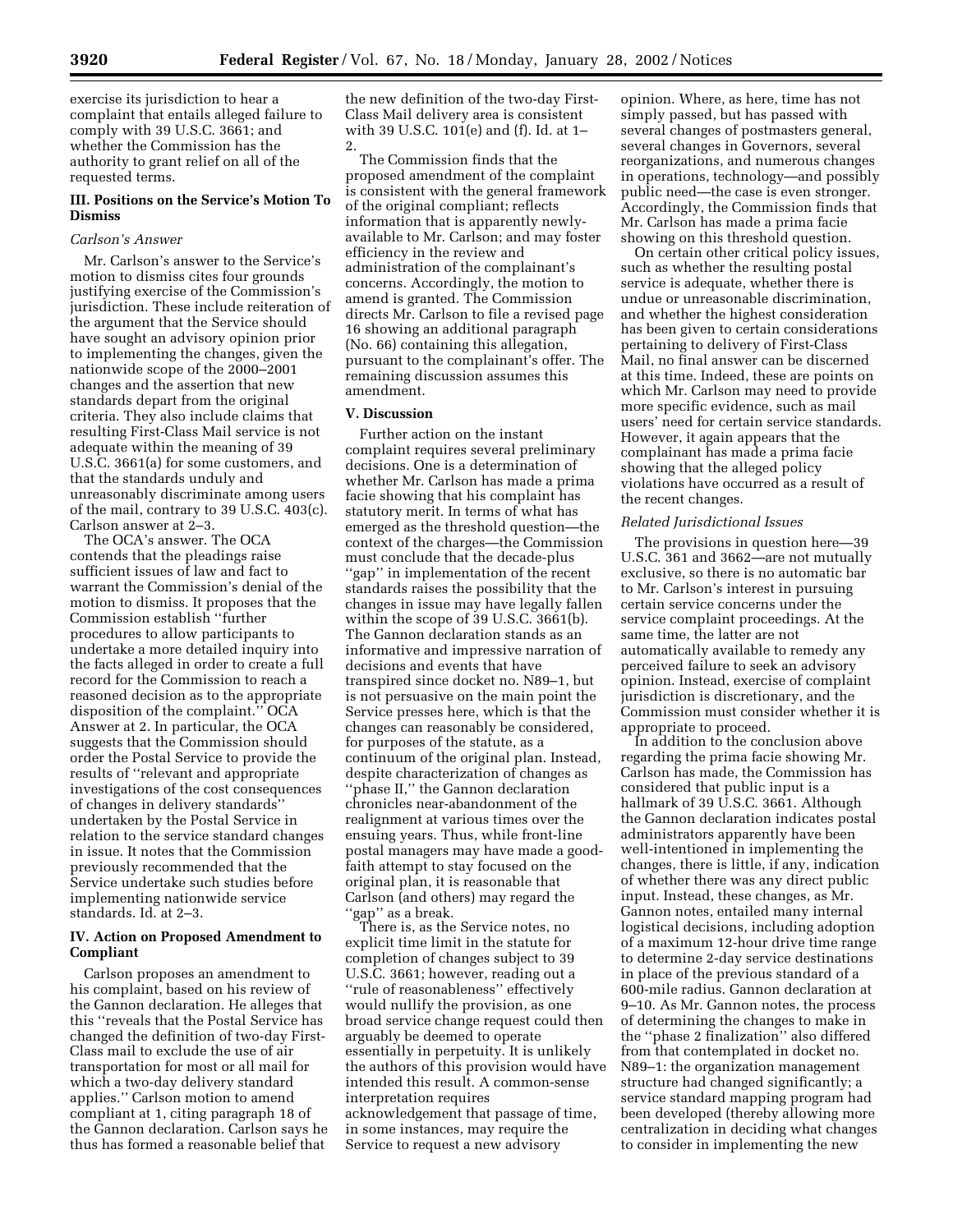exercise its jurisdiction to hear a complaint that entails alleged failure to comply with 39 U.S.C. 3661; and whether the Commission has the authority to grant relief on all of the requested terms.

# **III. Positions on the Service's Motion To Dismiss**

# *Carlson's Answer*

Mr. Carlson's answer to the Service's motion to dismiss cites four grounds justifying exercise of the Commission's jurisdiction. These include reiteration of the argument that the Service should have sought an advisory opinion prior to implementing the changes, given the nationwide scope of the 2000–2001 changes and the assertion that new standards depart from the original criteria. They also include claims that resulting First-Class Mail service is not adequate within the meaning of 39 U.S.C. 3661(a) for some customers, and that the standards unduly and unreasonably discriminate among users of the mail, contrary to 39 U.S.C. 403(c). Carlson answer at 2–3.

The OCA's answer. The OCA contends that the pleadings raise sufficient issues of law and fact to warrant the Commission's denial of the motion to dismiss. It proposes that the Commission establish ''further procedures to allow participants to undertake a more detailed inquiry into the facts alleged in order to create a full record for the Commission to reach a reasoned decision as to the appropriate disposition of the complaint.'' OCA Answer at 2. In particular, the OCA suggests that the Commission should order the Postal Service to provide the results of ''relevant and appropriate investigations of the cost consequences of changes in delivery standards'' undertaken by the Postal Service in relation to the service standard changes in issue. It notes that the Commission previously recommended that the Service undertake such studies before implementing nationwide service standards. Id. at 2–3.

## **IV. Action on Proposed Amendment to Compliant**

Carlson proposes an amendment to his complaint, based on his review of the Gannon declaration. He alleges that this ''reveals that the Postal Service has changed the definition of two-day First-Class mail to exclude the use of air transportation for most or all mail for which a two-day delivery standard applies.'' Carlson motion to amend compliant at 1, citing paragraph 18 of the Gannon declaration. Carlson says he thus has formed a reasonable belief that

the new definition of the two-day First-Class Mail delivery area is consistent with 39 U.S.C. 101(e) and (f). Id. at 1– 2.

The Commission finds that the proposed amendment of the complaint is consistent with the general framework of the original compliant; reflects information that is apparently newlyavailable to Mr. Carlson; and may foster efficiency in the review and administration of the complainant's concerns. Accordingly, the motion to amend is granted. The Commission directs Mr. Carlson to file a revised page 16 showing an additional paragraph (No. 66) containing this allegation, pursuant to the complainant's offer. The remaining discussion assumes this amendment.

## **V. Discussion**

Further action on the instant complaint requires several preliminary decisions. One is a determination of whether Mr. Carlson has made a prima facie showing that his complaint has statutory merit. In terms of what has emerged as the threshold question—the context of the charges—the Commission must conclude that the decade-plus ''gap'' in implementation of the recent standards raises the possibility that the changes in issue may have legally fallen within the scope of 39 U.S.C. 3661(b). The Gannon declaration stands as an informative and impressive narration of decisions and events that have transpired since docket no. N89–1, but is not persuasive on the main point the Service presses here, which is that the changes can reasonably be considered, for purposes of the statute, as a continuum of the original plan. Instead, despite characterization of changes as ''phase II,'' the Gannon declaration chronicles near-abandonment of the realignment at various times over the ensuing years. Thus, while front-line postal managers may have made a goodfaith attempt to stay focused on the original plan, it is reasonable that Carlson (and others) may regard the 'gap'' as a break.

There is, as the Service notes, no explicit time limit in the statute for completion of changes subject to 39 U.S.C. 3661; however, reading out a ''rule of reasonableness'' effectively would nullify the provision, as one broad service change request could then arguably be deemed to operate essentially in perpetuity. It is unlikely the authors of this provision would have intended this result. A common-sense interpretation requires acknowledgement that passage of time, in some instances, may require the Service to request a new advisory

opinion. Where, as here, time has not simply passed, but has passed with several changes of postmasters general, several changes in Governors, several reorganizations, and numerous changes in operations, technology—and possibly public need—the case is even stronger. Accordingly, the Commission finds that Mr. Carlson has made a prima facie showing on this threshold question.

On certain other critical policy issues, such as whether the resulting postal service is adequate, whether there is undue or unreasonable discrimination, and whether the highest consideration has been given to certain considerations pertaining to delivery of First-Class Mail, no final answer can be discerned at this time. Indeed, these are points on which Mr. Carlson may need to provide more specific evidence, such as mail users' need for certain service standards. However, it again appears that the complainant has made a prima facie showing that the alleged policy violations have occurred as a result of the recent changes.

### *Related Jurisdictional Issues*

The provisions in question here—39 U.S.C. 361 and 3662—are not mutually exclusive, so there is no automatic bar to Mr. Carlson's interest in pursuing certain service concerns under the service complaint proceedings. At the same time, the latter are not automatically available to remedy any perceived failure to seek an advisory opinion. Instead, exercise of complaint jurisdiction is discretionary, and the Commission must consider whether it is appropriate to proceed.

In addition to the conclusion above regarding the prima facie showing Mr. Carlson has made, the Commission has considered that public input is a hallmark of 39 U.S.C. 3661. Although the Gannon declaration indicates postal administrators apparently have been well-intentioned in implementing the changes, there is little, if any, indication of whether there was any direct public input. Instead, these changes, as Mr. Gannon notes, entailed many internal logistical decisions, including adoption of a maximum 12-hour drive time range to determine 2-day service destinations in place of the previous standard of a 600-mile radius. Gannon declaration at 9–10. As Mr. Gannon notes, the process of determining the changes to make in the ''phase 2 finalization'' also differed from that contemplated in docket no. N89–1: the organization management structure had changed significantly; a service standard mapping program had been developed (thereby allowing more centralization in deciding what changes to consider in implementing the new